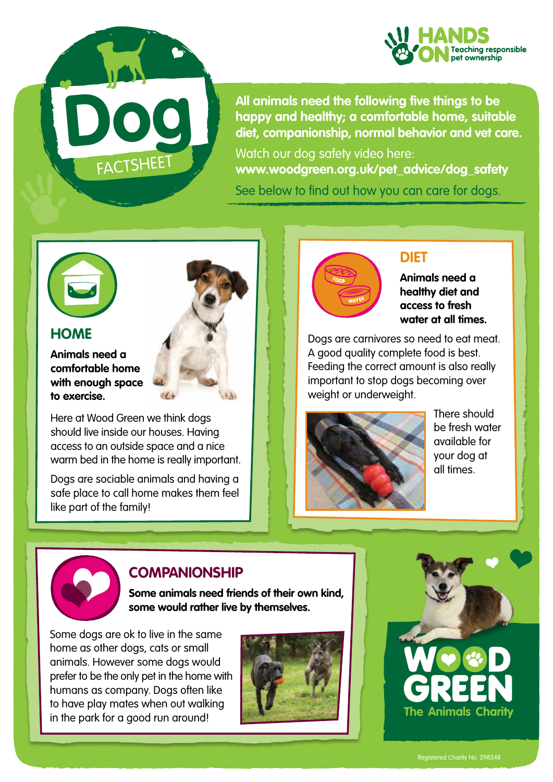

**All animals need the following five things to be happy and healthy; a comfortable home, suitable diet, companionship, normal behavior and vet care.** 

Watch our dog safety video here: **www.woodgreen.org.uk/pet\_advice/dog\_safety** See below to find out how you can care for dogs.



#### **HOME**

**Animals need a comfortable home with enough space to exercise.** 

Here at Wood Green we think dogs should live inside our houses. Having access to an outside space and a nice warm bed in the home is really important.

FACTSHEE<sup>T</sup>

**Dog**

Dogs are sociable animals and having a safe place to call home makes them feel like part of the family!



### **DIET**

**Animals need a healthy diet and access to fresh water at all times.**

Dogs are carnivores so need to eat meat. A good quality complete food is best. Feeding the correct amount is also really important to stop dogs becoming over weight or underweight.



There should be fresh water available for your dog at all times.



### **COMPANIONSHIP**

**Some animals need friends of their own kind, some would rather live by themselves.**

Some dogs are ok to live in the same home as other dogs, cats or small animals. However some dogs would prefer to be the only pet in the home with humans as company. Dogs often like to have play mates when out walking in the park for a good run around!